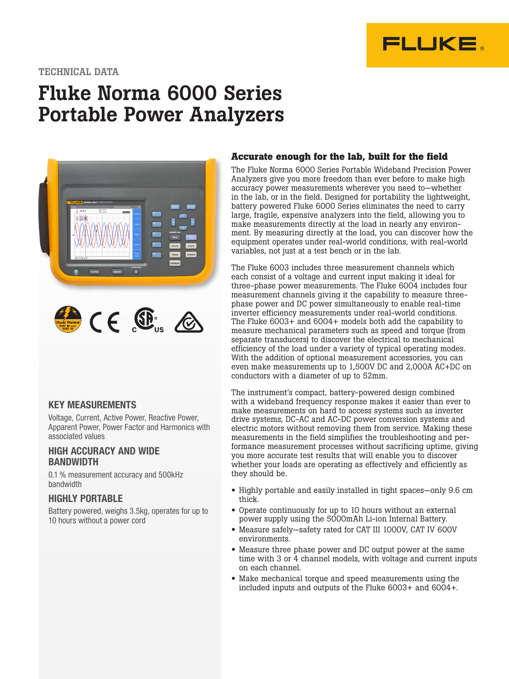

### TECHNICAL DATA

# Fluke Norma 6000 Series Portable Power Analyzers



### KEY MEASUREMENTS

Voltage, Current, Active Power, Reactive Power, Apparent Power, Power Factor and Harmonics with associated values

### HIGH ACCURACY AND WIDE **BANDWIDTH**

0.1 % measurement accuracy and 500kHz bandwidth

### HIGHLY PORTABLE

Battery powered, weighs 3.5kg, operates for up to 10 hours without a power cord

### **Accurate enough for the lab, built for the field**

The Fluke Norma 6000 Series Portable Wideband Precision Power Analyzers give you more freedom than ever before to make high accuracy power measurements wherever you need to—whether in the lab, or in the field. Designed for portability the lightweight, battery powered Fluke 6000 Series eliminates the need to carry large, fragile, expensive analyzers into the field, allowing you to make measurements directly at the load in nearly any environment. By measuring directly at the load, you can discover how the equipment operates under real-world conditions, with real-world variables, not just at a test bench or in the lab.

The Fluke 6003 includes three measurement channels which each consist of a voltage and current input making it ideal for three-phase power measurements. The Fluke 6004 includes four measurement channels giving it the capability to measure threephase power and DC power simultaneously to enable real-time inverter efficiency measurements under real-world conditions. The Fluke 6003+ and 6004+ models both add the capability to measure mechanical parameters such as speed and torque (from separate transducers) to discover the electrical to mechanical efficiency of the load under a variety of typical operating modes. With the addition of optional measurement accessories, you can even make measurements up to 1,500V DC and 2,000A AC+DC on conductors with a diameter of up to 52mm.

The instrument's compact, battery-powered design combined with a wideband frequency response makes it easier than ever to make measurements on hard to access systems such as inverter drive systems, DC-AC and AC-DC power conversion systems and electric motors without removing them from service. Making these measurements in the field simplifies the troubleshooting and performance measurement processes without sacrificing uptime, giving you more accurate test results that will enable you to discover whether your loads are operating as effectively and efficiently as they should be.

- Highly portable and easily installed in tight spaces—only 9.6 cm thick.
- Operate continuously for up to 10 hours without an external power supply using the 5000mAh Li-ion Internal Battery.
- Measure safely—safety rated for CAT III 1000V, CAT IV 600V environments.
- Measure three phase power and DC output power at the same time with 3 or 4 channel models, with voltage and current inputs on each channel.
- Make mechanical torque and speed measurements using the included inputs and outputs of the Fluke 6003+ and 6004+.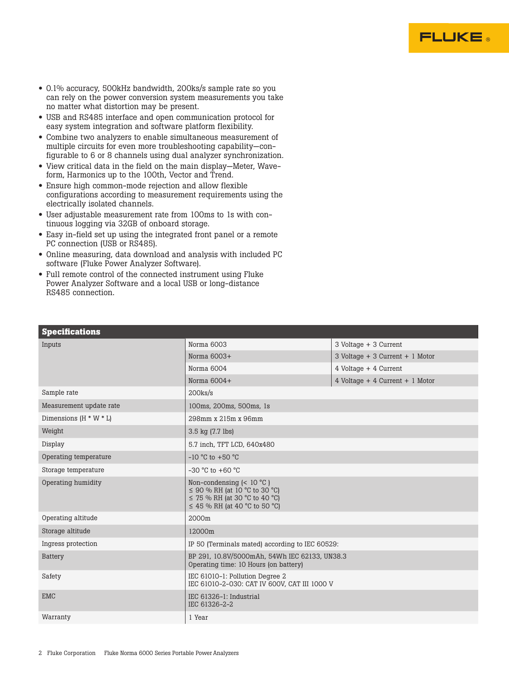

- 0.1% accuracy, 500kHz bandwidth, 200ks/s sample rate so you can rely on the power conversion system measurements you take no matter what distortion may be present.
- USB and RS485 interface and open communication protocol for easy system integration and software platform flexibility.
- Combine two analyzers to enable simultaneous measurement of multiple circuits for even more troubleshooting capability—configurable to 6 or 8 channels using dual analyzer synchronization.
- View critical data in the field on the main display—Meter, Waveform, Harmonics up to the 100th, Vector and Trend.
- Ensure high common-mode rejection and allow flexible configurations according to measurement requirements using the electrically isolated channels.
- User adjustable measurement rate from 100ms to 1s with continuous logging via 32GB of onboard storage.
- Easy in-field set up using the integrated front panel or a remote PC connection (USB or RS485).
- Online measuring, data download and analysis with included PC software (Fluke Power Analyzer Software).
- Full remote control of the connected instrument using Fluke Power Analyzer Software and a local USB or long-distance RS485 connection.

| <b>Specifications</b>    |                                                                                                                                                       |                                 |
|--------------------------|-------------------------------------------------------------------------------------------------------------------------------------------------------|---------------------------------|
| Inputs                   | Norma 6003                                                                                                                                            | 3 Voltage + 3 Current           |
|                          | Norma $6003+$                                                                                                                                         | 3 Voltage + 3 Current + 1 Motor |
|                          | Norma 6004                                                                                                                                            | 4 Voltage + 4 Current           |
|                          | Norma $6004+$                                                                                                                                         | 4 Voltage + 4 Current + 1 Motor |
| Sample rate              | $200$ ks/s                                                                                                                                            |                                 |
| Measurement update rate  | 100ms, 200ms, 500ms, 1s                                                                                                                               |                                 |
| Dimensions $(H * W * L)$ | 298mm x 215m x 96mm                                                                                                                                   |                                 |
| Weight                   | 3.5 kg (7.7 lbs)                                                                                                                                      |                                 |
| Display                  | 5.7 inch, TFT LCD, 640x480                                                                                                                            |                                 |
| Operating temperature    | $-10$ °C to $+50$ °C                                                                                                                                  |                                 |
| Storage temperature      | $-30$ °C to $+60$ °C                                                                                                                                  |                                 |
| Operating humidity       | Non-condensing $\leq 10^{\circ}$ C)<br>$\leq$ 90 % RH (at 10 °C to 30 °C)<br>$\leq$ 75 % RH (at 30 °C to 40 °C)<br>$\leq$ 45 % RH (at 40 °C to 50 °C) |                                 |
| Operating altitude       | 2000m                                                                                                                                                 |                                 |
| Storage altitude         | 12000m                                                                                                                                                |                                 |
| Ingress protection       | IP 50 (Terminals mated) according to IEC 60529:                                                                                                       |                                 |
| Battery                  | BP 291, 10.8V/5000mAh, 54Wh IEC 62133, UN38.3<br>Operating time: 10 Hours (on battery)                                                                |                                 |
| Safety                   | IEC 61010-1: Pollution Degree 2<br>IEC 61010-2-030: CAT IV 600V, CAT III 1000 V                                                                       |                                 |
| <b>EMC</b>               | IEC 61326-1: Industrial<br>IEC 61326-2-2                                                                                                              |                                 |
| Warranty                 | 1 Year                                                                                                                                                |                                 |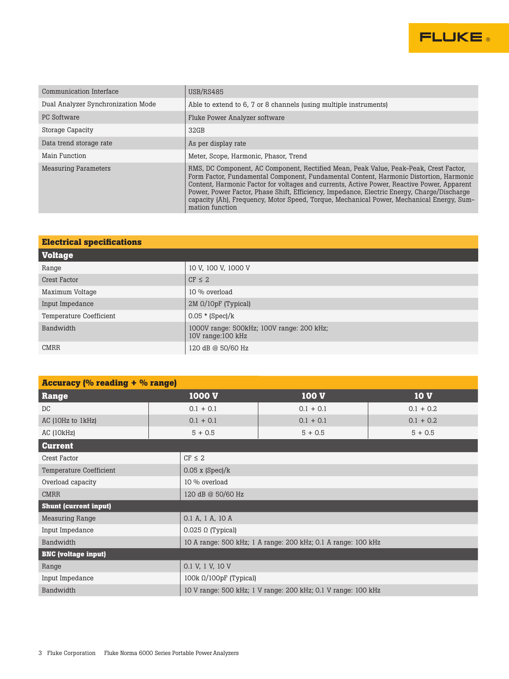

| Communication Interface            | USB/RS485                                                                                                                                                                                                                                                                                                                                                                                                                                                                                  |
|------------------------------------|--------------------------------------------------------------------------------------------------------------------------------------------------------------------------------------------------------------------------------------------------------------------------------------------------------------------------------------------------------------------------------------------------------------------------------------------------------------------------------------------|
| Dual Analyzer Synchronization Mode | Able to extend to 6, 7 or 8 channels (using multiple instruments)                                                                                                                                                                                                                                                                                                                                                                                                                          |
| PC Software                        | Fluke Power Analyzer software                                                                                                                                                                                                                                                                                                                                                                                                                                                              |
| Storage Capacity                   | 32GB                                                                                                                                                                                                                                                                                                                                                                                                                                                                                       |
| Data trend storage rate            | As per display rate                                                                                                                                                                                                                                                                                                                                                                                                                                                                        |
| Main Function                      | Meter, Scope, Harmonic, Phasor, Trend                                                                                                                                                                                                                                                                                                                                                                                                                                                      |
| <b>Measuring Parameters</b>        | RMS, DC Component, AC Component, Rectified Mean, Peak Value, Peak-Peak, Crest Factor,<br>Form Factor, Fundamental Component, Fundamental Content, Harmonic Distortion, Harmonic<br>Content, Harmonic Factor for voltages and currents, Active Power, Reactive Power, Apparent<br>Power, Power Factor, Phase Shift, Efficiency, Impedance, Electric Energy, Charge/Discharge<br>capacity (Ah), Frequency, Motor Speed, Torque, Mechanical Power, Mechanical Energy, Sum-<br>mation function |

| <b>Electrical specifications</b> |                                                                |  |
|----------------------------------|----------------------------------------------------------------|--|
| <b>Voltage</b>                   |                                                                |  |
| Range                            | 10 V, 100 V, 1000 V                                            |  |
| Crest Factor                     | $CF \leq 2$                                                    |  |
| Maximum Voltage                  | 10 % overload                                                  |  |
| Input Impedance                  | $2M \Omega/10pF$ (Typical)                                     |  |
| <b>Temperature Coefficient</b>   | $0.05 * (Spec)/k$                                              |  |
| Bandwidth                        | 1000V range: 500kHz; 100V range: 200 kHz;<br>10V range:100 kHz |  |
| <b>CMRR</b>                      | 120 dB @ 50/60 Hz                                              |  |

| <b>Accuracy (% reading + % range)</b> |                          |                                                               |             |  |
|---------------------------------------|--------------------------|---------------------------------------------------------------|-------------|--|
| Range                                 | 1000 V                   | 100 V                                                         | <b>10 V</b> |  |
| DC                                    | $0.1 + 0.1$              | $0.1 + 0.1$                                                   | $0.1 + 0.2$ |  |
| AC (10Hz to 1kHz)                     | $0.1 + 0.1$              | $0.1 + 0.1$                                                   | $0.1 + 0.2$ |  |
| AC(10kHz)                             | $5 + 0.5$                | $5 + 0.5$                                                     | $5 + 0.5$   |  |
| <b>Current</b>                        |                          |                                                               |             |  |
| <b>Crest Factor</b>                   | $CF \leq 2$              |                                                               |             |  |
| <b>Temperature Coefficient</b>        | $0.05$ x (Spec)/k        |                                                               |             |  |
| Overload capacity                     | 10 % overload            |                                                               |             |  |
| <b>CMRR</b>                           | 120 dB @ 50/60 Hz        |                                                               |             |  |
| <b>Shunt (current input)</b>          |                          |                                                               |             |  |
| <b>Measuring Range</b>                | 0.1 A, 1 A, 10 A         |                                                               |             |  |
| Input Impedance                       | $0.025 \Omega$ (Typical) |                                                               |             |  |
| Bandwidth                             |                          | 10 A range: 500 kHz; 1 A range: 200 kHz; 0.1 A range: 100 kHz |             |  |
| <b>BNC</b> (voltage input)            |                          |                                                               |             |  |
| Range                                 | 0.1 V, 1 V, 10 V         |                                                               |             |  |
| Input Impedance                       |                          | 100 $k \Omega/100pF$ (Typical)                                |             |  |
| Bandwidth                             |                          | 10 V range: 500 kHz; 1 V range: 200 kHz; 0.1 V range: 100 kHz |             |  |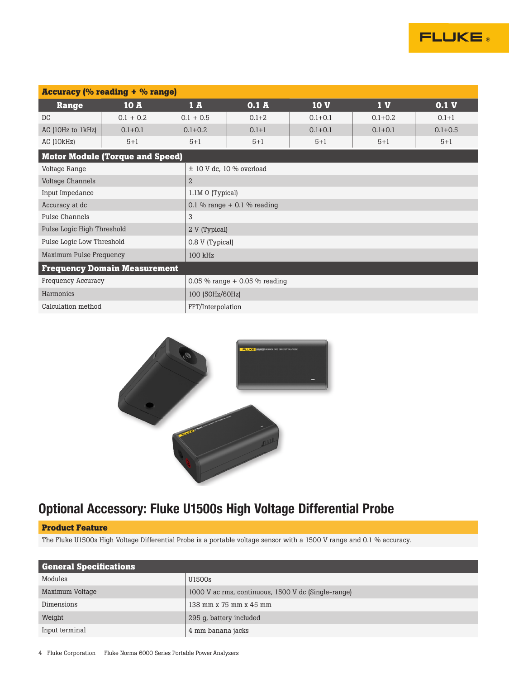

| <b>Accuracy (% reading + % range)</b>  |             |                |                                 |             |                |                  |
|----------------------------------------|-------------|----------------|---------------------------------|-------------|----------------|------------------|
| Range                                  | 10A         | 1A             | 0.1A                            | <b>10 V</b> | 1 <sub>V</sub> | 0.1 <sub>V</sub> |
| DC                                     | $0.1 + 0.2$ | $0.1 + 0.5$    | $0.1 + 2$                       | $0.1 + 0.1$ | $0.1 + 0.2$    | $0.1 + 1$        |
| AC (10Hz to 1kHz)                      | $0.1 + 0.1$ | $0.1 + 0.2$    | $0.1 + 1$                       | $0.1 + 0.1$ | $0.1 + 0.1$    | $0.1 + 0.5$      |
| AC (10kHz)                             | $5 + 1$     | $5 + 1$        | $5 + 1$                         | $5 + 1$     | $5 + 1$        | $5 + 1$          |
| <b>Motor Module (Torque and Speed)</b> |             |                |                                 |             |                |                  |
| Voltage Range                          |             |                | $\pm$ 10 V dc, 10 % overload    |             |                |                  |
| Voltage Channels                       |             | $\overline{2}$ |                                 |             |                |                  |
| Input Impedance                        |             |                | $1.1M \Omega$ (Typical)         |             |                |                  |
| Accuracy at dc                         |             |                | 0.1 % range $+$ 0.1 % reading   |             |                |                  |
| Pulse Channels                         |             | 3              |                                 |             |                |                  |
| Pulse Logic High Threshold             |             |                | 2 V (Typical)                   |             |                |                  |
| Pulse Logic Low Threshold              |             |                | 0.8 V (Typical)                 |             |                |                  |
| Maximum Pulse Frequency                |             | 100 kHz        |                                 |             |                |                  |
| <b>Frequency Domain Measurement</b>    |             |                |                                 |             |                |                  |
| <b>Frequency Accuracy</b>              |             |                | 0.05 % range $+$ 0.05 % reading |             |                |                  |
| Harmonics                              |             |                | 100 (50Hz/60Hz)                 |             |                |                  |
| Calculation method                     |             |                | FFT/Interpolation               |             |                |                  |



### Optional Accessory: Fluke U1500s High Voltage Differential Probe

### **Product Feature**

The Fluke U1500s High Voltage Differential Probe is a portable voltage sensor with a 1500 V range and 0.1 % accuracy.

| <b>General Specifications</b> |                                                     |
|-------------------------------|-----------------------------------------------------|
| Modules                       | U1500s                                              |
| Maximum Voltage               | 1000 V ac rms, continuous, 1500 V dc (Single-range) |
| Dimensions                    | 138 mm x 75 mm x 45 mm                              |
| Weight                        | 295 g, battery included                             |
| Input terminal                | 4 mm banana jacks                                   |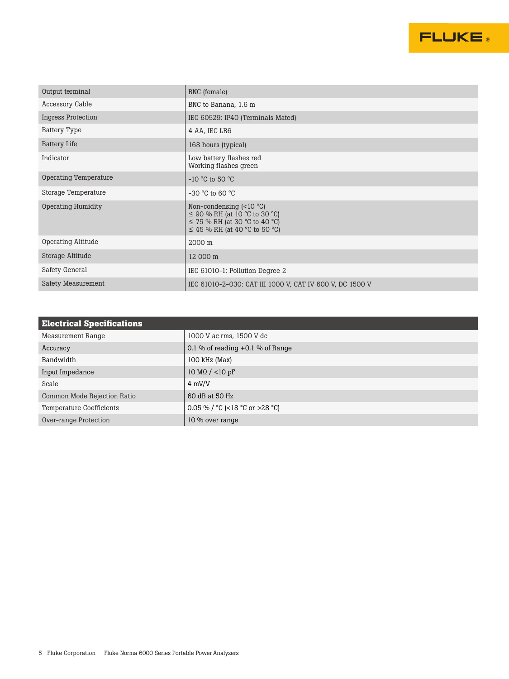

| Output terminal           | BNC (female)                                                                                                                                |
|---------------------------|---------------------------------------------------------------------------------------------------------------------------------------------|
| Accessory Cable           | BNC to Banana, 1.6 m                                                                                                                        |
| <b>Ingress Protection</b> | IEC 60529: IP40 (Terminals Mated)                                                                                                           |
| <b>Battery Type</b>       | 4 AA, IEC LR6                                                                                                                               |
| <b>Battery Life</b>       | 168 hours (typical)                                                                                                                         |
| Indicator                 | Low battery flashes red<br>Working flashes green                                                                                            |
| Operating Temperature     | $-10$ °C to 50 °C                                                                                                                           |
| Storage Temperature       | $-30$ °C to 60 °C                                                                                                                           |
| <b>Operating Humidity</b> | Non-condensing $(<10 °C)$<br>$\leq$ 90 % RH (at 10 °C to 30 °C)<br>$\leq$ 75 % RH (at 30 °C to 40 °C)<br>$\leq$ 45 % RH (at 40 °C to 50 °C) |
| <b>Operating Altitude</b> | 2000 m                                                                                                                                      |
| Storage Altitude          | 12 000 m                                                                                                                                    |
| Safety General            | IEC 61010-1: Pollution Degree 2                                                                                                             |
| Safety Measurement        | IEC 61010-2-030: CAT III 1000 V, CAT IV 600 V, DC 1500 V                                                                                    |

| <b>Electrical Specifications</b> |                                                           |
|----------------------------------|-----------------------------------------------------------|
| Measurement Range                | 1000 V ac rms, 1500 V dc                                  |
| Accuracy                         | 0.1 % of reading +0.1 % of Range                          |
| Bandwidth                        | $100$ kHz (Max)                                           |
| Input Impedance                  | $10 M\Omega / < 10 pF$                                    |
| Scale                            | $4 \text{ mV/V}$                                          |
| Common Mode Rejection Ratio      | 60 dB at 50 Hz                                            |
| Temperature Coefficients         | 0.05 % / $\degree$ C (<18 $\degree$ C or >28 $\degree$ C) |
| Over-range Protection            | 10 % over range                                           |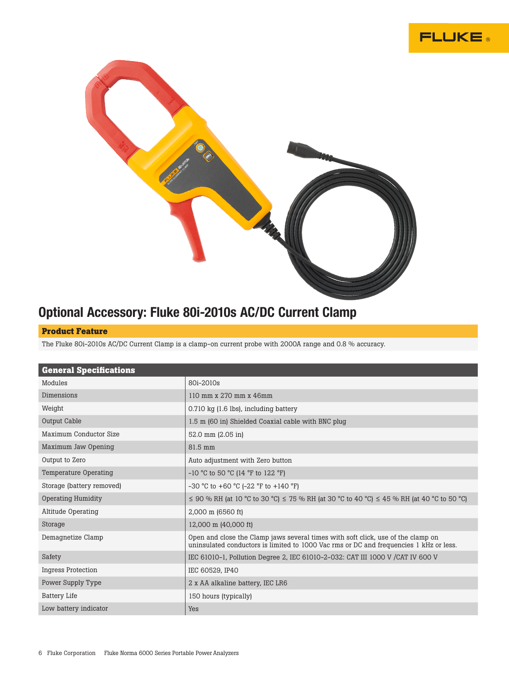



## Optional Accessory: Fluke 80i-2010s AC/DC Current Clamp

### **Product Feature**

The Fluke 80i-2010s AC/DC Current Clamp is a clamp-on current probe with 2000A range and 0.8 % accuracy.

| <b>General Specifications</b> |                                                                                                                                                                            |
|-------------------------------|----------------------------------------------------------------------------------------------------------------------------------------------------------------------------|
| Modules                       | 80i-2010s                                                                                                                                                                  |
| Dimensions                    | 110 mm x 270 mm x 46mm                                                                                                                                                     |
| Weight                        | 0.710 kg (1.6 lbs), including battery                                                                                                                                      |
| Output Cable                  | 1.5 m (60 in) Shielded Coaxial cable with BNC plug                                                                                                                         |
| Maximum Conductor Size        | 52.0 mm (2.05 in)                                                                                                                                                          |
| Maximum Jaw Opening           | 81.5 mm                                                                                                                                                                    |
| Output to Zero                | Auto adjustment with Zero button                                                                                                                                           |
| Temperature Operating         | $-10$ °C to 50 °C (14 °F to 122 °F)                                                                                                                                        |
| Storage (battery removed)     | $-30$ °C to $+60$ °C ( $-22$ °F to $+140$ °F)                                                                                                                              |
| <b>Operating Humidity</b>     | $\leq$ 90 % RH (at 10 °C to 30 °C) $\leq$ 75 % RH (at 30 °C to 40 °C) $\leq$ 45 % RH (at 40 °C to 50 °C)                                                                   |
| <b>Altitude Operating</b>     | 2,000 m (6560 ft)                                                                                                                                                          |
| Storage                       | 12,000 m (40,000 ft)                                                                                                                                                       |
| Demagnetize Clamp             | Open and close the Clamp jaws several times with soft click, use of the clamp on<br>uninsulated conductors is limited to 1000 Vac rms or DC and frequencies 1 kHz or less. |
| Safety                        | IEC 61010-1, Pollution Degree 2, IEC 61010-2-032: CAT III 1000 V / CAT IV 600 V                                                                                            |
| <b>Ingress Protection</b>     | IEC 60529, IP40                                                                                                                                                            |
| Power Supply Type             | 2 x AA alkaline battery, IEC LR6                                                                                                                                           |
| <b>Battery Life</b>           | 150 hours (typically)                                                                                                                                                      |
| Low battery indicator         | Yes                                                                                                                                                                        |